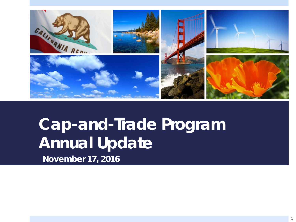

# **Cap-and-Trade Program Annual Update**

*November 17, 2016*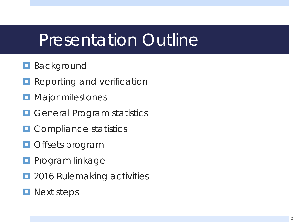### Presentation Outline

#### **Background**

- **Reporting and verification**
- **D** Major milestones
- **D** General Program statistics
- **O** Compliance statistics
- **O** Offsets program
- **Program linkage**
- $\Box$  2016 Rulemaking activities
- **Next steps**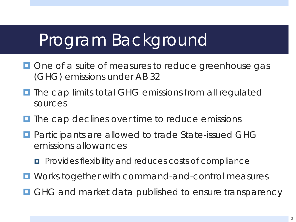### Program Background

- **One of a suite of measures to reduce greenhouse gas** (GHG) emissions under AB 32
- $\blacksquare$  The cap limits total GHG emissions from all regulated sources
- $\blacksquare$  The cap declines over time to reduce emissions
- **Participants are allowed to trade State-issued GHG** emissions allowances
	- **Provides flexibility and reduces costs of compliance**
- $\blacksquare$  Works together with command-and-control measures
- **O** GHG and market data published to ensure transparency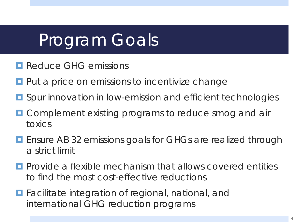## Program Goals

- **Reduce GHG emissions**
- $\Box$  Put a price on emissions to incentivize change
- **<u>E</u>** Spur innovation in low-emission and efficient technologies
- **E** Complement existing programs to reduce smog and air toxics
- **E** Ensure AB 32 emissions goals for GHGs are realized through a strict limit
- **Provide a flexible mechanism that allows covered entities** to find the most cost-effective reductions
- **Facilitate integration of regional, national, and** international GHG reduction programs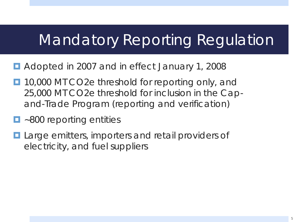### Mandatory Reporting Regulation

- Adopted in 2007 and in effect January 1, 2008
- **10,000 MT CO2e threshold for reporting only, and** 25,000 MT CO2e threshold for inclusion in the Capand-Trade Program (reporting and verification)
- ~800 reporting entities
- **Large emitters, importers and retail providers of** electricity, and fuel suppliers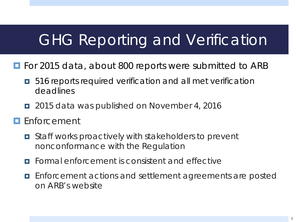#### GHG Reporting and Verification

- **For 2015 data, about 800 reports were submitted to ARB** 
	- $\blacksquare$  516 reports required verification and all met verification deadlines
	- 2015 data was published on November 4, 2016
- **E** Enforcement
	- Staff works proactively with stakeholders to prevent nonconformance with the Regulation
	- **<u>E</u>** Formal enforcement is consistent and effective
	- **Enforcement actions and settlement agreements are posted** on ARB's website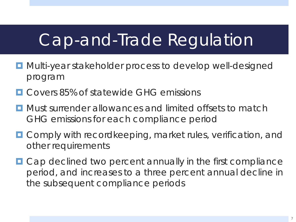### Cap-and-Trade Regulation

- **<u>E</u>** Multi-year stakeholder process to develop well-designed program
- **E** Covers 85% of statewide GHG emissions
- **<u>E</u>** Must surrender allowances and limited offsets to match GHG emissions for each compliance period
- **O** Comply with recordkeeping, market rules, verification, and other requirements
- Cap declined two percent annually in the first compliance period, and increases to a three percent annual decline in the subsequent compliance periods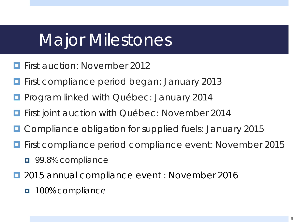### Major Milestones

- First auction: November 2012
- **First compliance period began: January 2013**
- Program linked with Québec: January 2014
- **First joint auction with Québec: November 2014**
- **O** Compliance obligation for supplied fuels: January 2015
- First compliance period compliance event: November 2015
	- $\blacksquare$  99.8% compliance
- 2015 annual compliance event : November 2016
	- **100% compliance**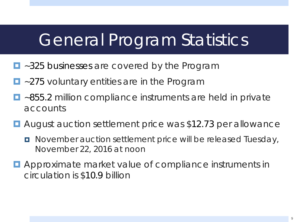### General Program Statistics

- ~325 businesses are covered by the Program
- ~275 voluntary entities are in the Program
- ~855.2 million compliance instruments are held in private accounts
- August auction settlement price was \$12.73 per allowance
	- November auction settlement price will be released Tuesday, November 22, 2016 at noon
- **E** Approximate market value of compliance instruments in circulation is \$10.9 billion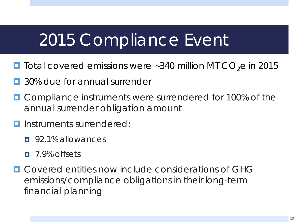### 2015 Compliance Event

- **T** Total covered emissions were ~340 million MT CO<sub>2</sub>e in 2015
- 30% due for annual surrender
- **OCOMPLANCE INSTRUMENTS WERE SURFERED FOR 100% of the** annual surrender obligation amount
- **<u>I</u>** Instruments surrendered:
	- $\Box$  92.1% allowances
	- 7.9% offsets
- $\Box$  Covered entities now include considerations of GHG emissions/compliance obligations in their long-term financial planning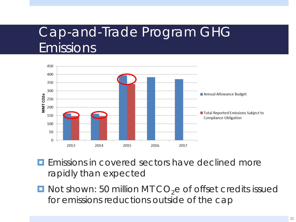#### Cap-and-Trade Program GHG Emissions



- **Exercise Emissions in covered sectors have declined more** rapidly than expected
- $\blacksquare$  Not shown: 50 million MT CO<sub>2</sub>e of offset credits issued for emissions reductions outside of the cap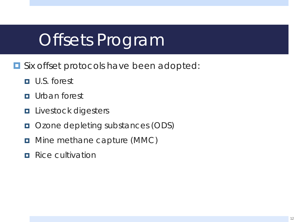# Offsets Program

- **O** Six offset protocols have been adopted:
	- U.S. forest
	- **<u>n</u>** Urban forest
	- **Livestock digesters**
	- **OZONE depleting substances (ODS)**
	- **D** Mine methane capture (MMC)
	- **Rice cultivation**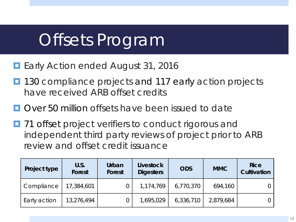# Offsets Program

- Early Action ended August 31, 2016
- 130 compliance projects and 117 early action projects have received ARB offset credits
- $\Box$  Over 50 million offsets have been issued to date
- $\blacksquare$  71 offset project verifiers to conduct rigorous and independent third party reviews of project prior to ARB review and offset credit issuance

| Project type | U.S.<br><b>Forest</b> | Urban<br>Forest | <b>Livestock</b><br><b>Digesters</b> | <b>ODS</b> | <b>MMC</b> | <b>Rice</b><br>Cultivation |
|--------------|-----------------------|-----------------|--------------------------------------|------------|------------|----------------------------|
| Compliance   | 17,384,601            |                 | 1,174,769                            | 6,770,370  | 694,160    |                            |
| Early action | 13,276,494            |                 | 1,695,029                            | 6,336,710  | 2,879,684  |                            |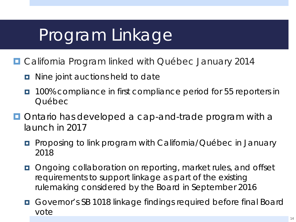# Program Linkage

- California Program linked with Québec January 2014
	- n Nine joint auctions held to date
	- **100% compliance in first compliance period for 55 reporters in** Québec
- **Ontario has developed a cap-and-trade program with a** launch in 2017
	- **Proposing to link program with California/Québec in January** 2018
	- **D** Ongoing collaboration on reporting, market rules, and offset requirements to support linkage as part of the existing rulemaking considered by the Board in September 2016
	- Governor's SB 1018 linkage findings required before final Board vote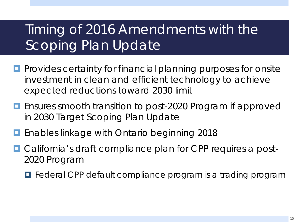#### Timing of 2016 Amendments with the Scoping Plan Update

- **Provides certainty for financial planning purposes for onsite** investment in clean and efficient technology to achieve expected reductions toward 2030 limit
- **E** Ensures smooth transition to post-2020 Program if approved in 2030 Target Scoping Plan Update
- **E** Enables linkage with Ontario beginning 2018
- California's draft compliance plan for CPP requires a post-2020 Program
	- $\blacksquare$  Federal CPP default compliance program is a trading program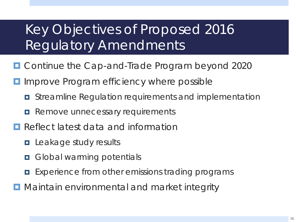#### Key Objectives of Proposed 2016 Regulatory Amendments

- Continue the Cap-and-Trade Program beyond 2020
- **I** Improve Program efficiency where possible
	- $\blacksquare$  Streamline Regulation requirements and implementation
	- **Remove unnecessary requirements**
- Reflect latest data and information
	- **<u>E</u>** Leakage study results
	- **D** Global warming potentials
	- **EXPERIENCE FROM OTHER EMISSIONS TRAINING PROGRAMS**
- **D** Maintain environmental and market integrity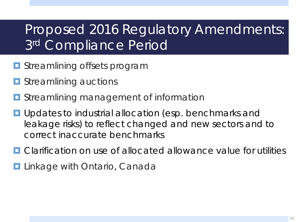#### Proposed 2016 Regulatory Amendments: 3rd Compliance Period

- **<u>E</u>** Streamlining offsets program
- **<u>E</u>** Streamlining auctions
- **D** Streamlining management of information
- **u** Updates to industrial allocation (esp. benchmarks and leakage risks) to reflect changed and new sectors and to correct inaccurate benchmarks
- **O** Clarification on use of allocated allowance value for utilities
- **Linkage with Ontario, Canada**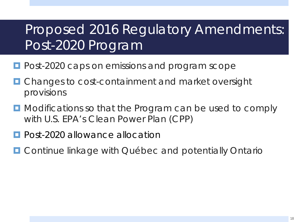#### Proposed 2016 Regulatory Amendments: Post-2020 Program

- **Post-2020 caps on emissions and program scope**
- Changes to cost-containment and market oversight provisions
- **D** Modifications so that the Program can be used to comply with U.S. EPA's Clean Power Plan (CPP)
- **Post-2020 allowance allocation**
- **D** Continue linkage with Québec and potentially Ontario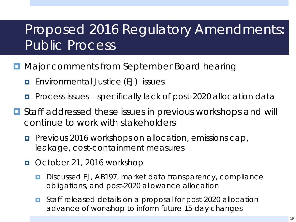#### Proposed 2016 Regulatory Amendments: Public Process

- **D** Major comments from September Board hearing
	- **E** Environmental Justice (EJ) issues
	- **P** Process issues specifically lack of post-2020 allocation data
- $\blacksquare$  Staff addressed these issues in previous workshops and will continue to work with stakeholders
	- **Previous 2016 workshops on allocation, emissions cap,** leakage, cost-containment measures
	- October 21, 2016 workshop
		- Discussed EJ, AB197, market data transparency, compliance obligations, and post-2020 allowance allocation
		- **D** Staff released details on a proposal for post-2020 allocation advance of workshop to inform future 15-day changes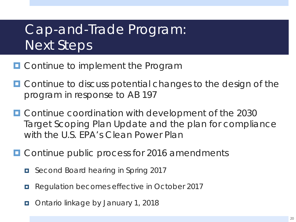#### Cap-and-Trade Program: Next Steps

- **OCONTITUDE TO IMPLEMENT THE PROGRAM**
- **Outrainate Continue to discuss potential changes to the design of the** program in response to AB 197
- **E** Continue coordination with development of the 2030 Target Scoping Plan Update and the plan for compliance with the U.S. EPA's Clean Power Plan
- **O** Continue public process for 2016 amendments
	- Second Board hearing in Spring 2017
	- Regulation becomes effective in October 2017
	- **D** Ontario linkage by January 1, 2018